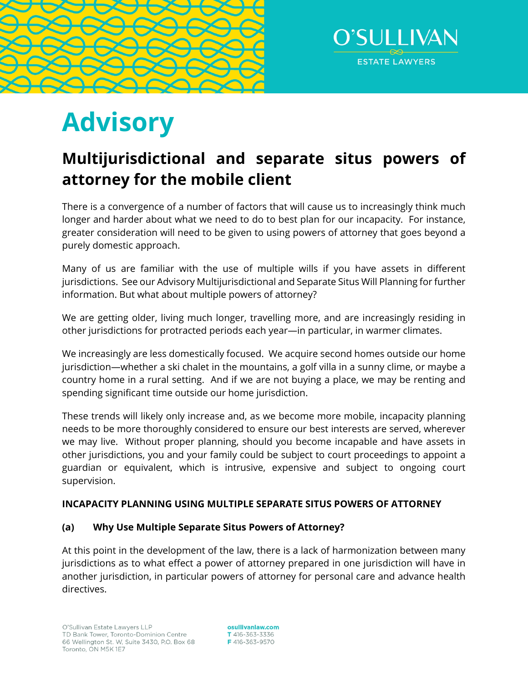



# **Advisory**

# **Multijurisdictional and separate situs powers of attorney for the mobile client**

There is a convergence of a number of factors that will cause us to increasingly think much longer and harder about what we need to do to best plan for our incapacity. For instance, greater consideration will need to be given to using powers of attorney that goes beyond a purely domestic approach.

Many of us are familiar with the use of multiple wills if you have assets in different jurisdictions. See our Advisory Multijurisdictional and Separate Situs Will Planning for further information. But what about multiple powers of attorney?

We are getting older, living much longer, travelling more, and are increasingly residing in other jurisdictions for protracted periods each year—in particular, in warmer climates.

We increasingly are less domestically focused. We acquire second homes outside our home jurisdiction—whether a ski chalet in the mountains, a golf villa in a sunny clime, or maybe a country home in a rural setting. And if we are not buying a place, we may be renting and spending significant time outside our home jurisdiction.

These trends will likely only increase and, as we become more mobile, incapacity planning needs to be more thoroughly considered to ensure our best interests are served, wherever we may live. Without proper planning, should you become incapable and have assets in other jurisdictions, you and your family could be subject to court proceedings to appoint a guardian or equivalent, which is intrusive, expensive and subject to ongoing court supervision.

# **INCAPACITY PLANNING USING MULTIPLE SEPARATE SITUS POWERS OF ATTORNEY**

# **(a) Why Use Multiple Separate Situs Powers of Attorney?**

At this point in the development of the law, there is a lack of harmonization between many jurisdictions as to what effect a power of attorney prepared in one jurisdiction will have in another jurisdiction, in particular powers of attorney for personal care and advance health directives.

osullivanlaw.com T 416-363-3336 F416-363-9570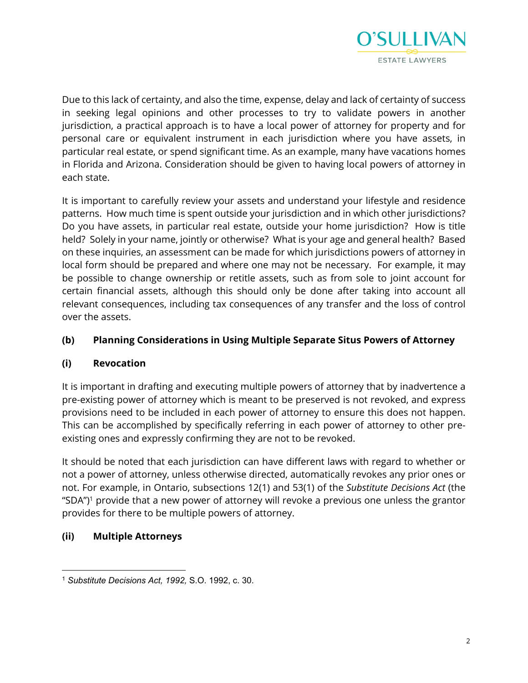

Due to this lack of certainty, and also the time, expense, delay and lack of certainty of success in seeking legal opinions and other processes to try to validate powers in another jurisdiction, a practical approach is to have a local power of attorney for property and for personal care or equivalent instrument in each jurisdiction where you have assets, in particular real estate, or spend significant time. As an example, many have vacations homes in Florida and Arizona. Consideration should be given to having local powers of attorney in each state.

It is important to carefully review your assets and understand your lifestyle and residence patterns. How much time is spent outside your jurisdiction and in which other jurisdictions? Do you have assets, in particular real estate, outside your home jurisdiction? How is title held? Solely in your name, jointly or otherwise? What is your age and general health? Based on these inquiries, an assessment can be made for which jurisdictions powers of attorney in local form should be prepared and where one may not be necessary. For example, it may be possible to change ownership or retitle assets, such as from sole to joint account for certain financial assets, although this should only be done after taking into account all relevant consequences, including tax consequences of any transfer and the loss of control over the assets.

# **(b) Planning Considerations in Using Multiple Separate Situs Powers of Attorney**

# **(i) Revocation**

It is important in drafting and executing multiple powers of attorney that by inadvertence a pre-existing power of attorney which is meant to be preserved is not revoked, and express provisions need to be included in each power of attorney to ensure this does not happen. This can be accomplished by specifically referring in each power of attorney to other preexisting ones and expressly confirming they are not to be revoked.

It should be noted that each jurisdiction can have different laws with regard to whether or not a power of attorney, unless otherwise directed, automatically revokes any prior ones or not. For example, in Ontario, subsections 12(1) and 53(1) of the *Substitute Decisions Act* (the "SDA")<sup>1</sup> provide that a new power of attorney will revoke a previous one unless the grantor provides for there to be multiple powers of attorney.

# **(ii) Multiple Attorneys**

<sup>1</sup> *Substitute Decisions Act, 1992,* S.O. 1992, c. 30.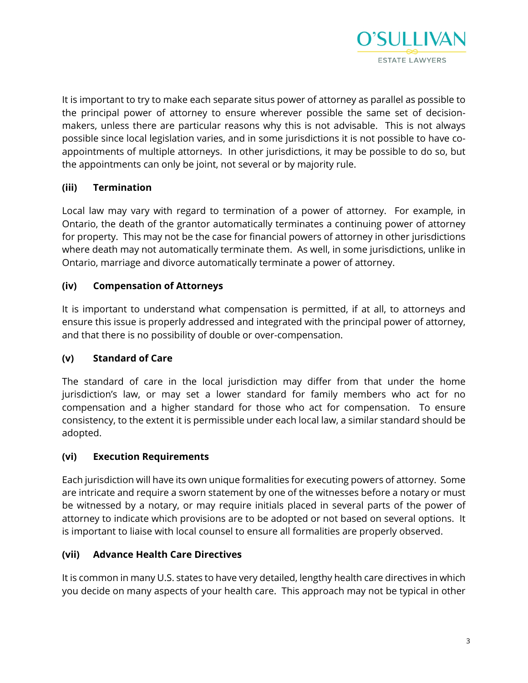

It is important to try to make each separate situs power of attorney as parallel as possible to the principal power of attorney to ensure wherever possible the same set of decisionmakers, unless there are particular reasons why this is not advisable. This is not always possible since local legislation varies, and in some jurisdictions it is not possible to have coappointments of multiple attorneys. In other jurisdictions, it may be possible to do so, but the appointments can only be joint, not several or by majority rule.

# **(iii) Termination**

Local law may vary with regard to termination of a power of attorney. For example, in Ontario, the death of the grantor automatically terminates a continuing power of attorney for property. This may not be the case for financial powers of attorney in other jurisdictions where death may not automatically terminate them. As well, in some jurisdictions, unlike in Ontario, marriage and divorce automatically terminate a power of attorney.

#### **(iv) Compensation of Attorneys**

It is important to understand what compensation is permitted, if at all, to attorneys and ensure this issue is properly addressed and integrated with the principal power of attorney, and that there is no possibility of double or over-compensation.

#### **(v) Standard of Care**

The standard of care in the local jurisdiction may differ from that under the home jurisdiction's law, or may set a lower standard for family members who act for no compensation and a higher standard for those who act for compensation. To ensure consistency, to the extent it is permissible under each local law, a similar standard should be adopted.

#### **(vi) Execution Requirements**

Each jurisdiction will have its own unique formalities for executing powers of attorney. Some are intricate and require a sworn statement by one of the witnesses before a notary or must be witnessed by a notary, or may require initials placed in several parts of the power of attorney to indicate which provisions are to be adopted or not based on several options. It is important to liaise with local counsel to ensure all formalities are properly observed.

#### **(vii) Advance Health Care Directives**

It is common in many U.S. states to have very detailed, lengthy health care directives in which you decide on many aspects of your health care. This approach may not be typical in other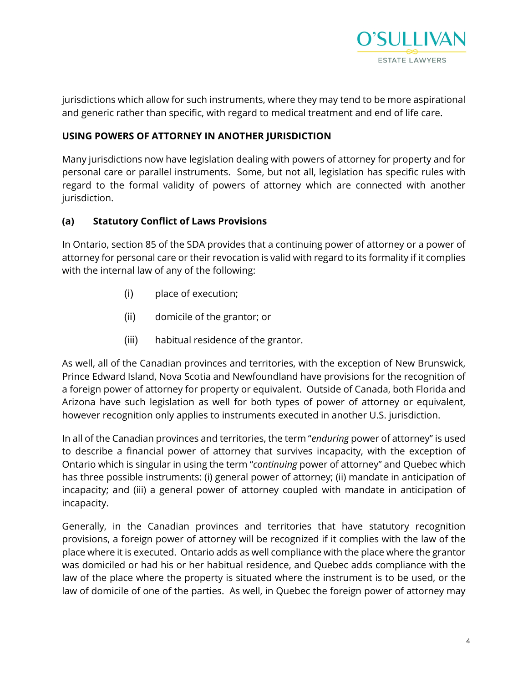

jurisdictions which allow for such instruments, where they may tend to be more aspirational and generic rather than specific, with regard to medical treatment and end of life care.

#### **USING POWERS OF ATTORNEY IN ANOTHER JURISDICTION**

Many jurisdictions now have legislation dealing with powers of attorney for property and for personal care or parallel instruments. Some, but not all, legislation has specific rules with regard to the formal validity of powers of attorney which are connected with another jurisdiction.

#### **(a) Statutory Conflict of Laws Provisions**

In Ontario, section 85 of the SDA provides that a continuing power of attorney or a power of attorney for personal care or their revocation is valid with regard to its formality if it complies with the internal law of any of the following:

- (i) place of execution;
- (ii) domicile of the grantor; or
- (iii) habitual residence of the grantor.

As well, all of the Canadian provinces and territories, with the exception of New Brunswick, Prince Edward Island, Nova Scotia and Newfoundland have provisions for the recognition of a foreign power of attorney for property or equivalent. Outside of Canada, both Florida and Arizona have such legislation as well for both types of power of attorney or equivalent, however recognition only applies to instruments executed in another U.S. jurisdiction.

In all of the Canadian provinces and territories, the term "*enduring* power of attorney" is used to describe a financial power of attorney that survives incapacity, with the exception of Ontario which is singular in using the term "*continuing* power of attorney" and Quebec which has three possible instruments: (i) general power of attorney; (ii) mandate in anticipation of incapacity; and (iii) a general power of attorney coupled with mandate in anticipation of incapacity.

Generally, in the Canadian provinces and territories that have statutory recognition provisions, a foreign power of attorney will be recognized if it complies with the law of the place where it is executed. Ontario adds as well compliance with the place where the grantor was domiciled or had his or her habitual residence, and Quebec adds compliance with the law of the place where the property is situated where the instrument is to be used, or the law of domicile of one of the parties. As well, in Quebec the foreign power of attorney may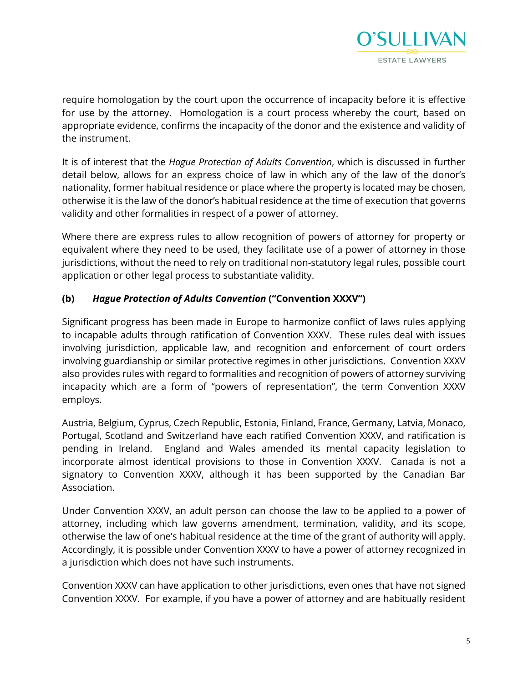

require homologation by the court upon the occurrence of incapacity before it is effective for use by the attorney. Homologation is a court process whereby the court, based on appropriate evidence, confirms the incapacity of the donor and the existence and validity of the instrument.

It is of interest that the *Hague Protection of Adults Convention*, which is discussed in further detail below, allows for an express choice of law in which any of the law of the donor's nationality, former habitual residence or place where the property is located may be chosen, otherwise it is the law of the donor's habitual residence at the time of execution that governs validity and other formalities in respect of a power of attorney.

Where there are express rules to allow recognition of powers of attorney for property or equivalent where they need to be used, they facilitate use of a power of attorney in those jurisdictions, without the need to rely on traditional non-statutory legal rules, possible court application or other legal process to substantiate validity.

# **(b)** *Hague Protection of Adults Convention* **("Convention XXXV")**

Significant progress has been made in Europe to harmonize conflict of laws rules applying to incapable adults through ratification of Convention XXXV. These rules deal with issues involving jurisdiction, applicable law, and recognition and enforcement of court orders involving guardianship or similar protective regimes in other jurisdictions. Convention XXXV also provides rules with regard to formalities and recognition of powers of attorney surviving incapacity which are a form of "powers of representation", the term Convention XXXV employs.

Austria, Belgium, Cyprus, Czech Republic, Estonia, Finland, France, Germany, Latvia, Monaco, Portugal, Scotland and Switzerland have each ratified Convention XXXV, and ratification is pending in Ireland. England and Wales amended its mental capacity legislation to incorporate almost identical provisions to those in Convention XXXV. Canada is not a signatory to Convention XXXV, although it has been supported by the Canadian Bar Association.

Under Convention XXXV, an adult person can choose the law to be applied to a power of attorney, including which law governs amendment, termination, validity, and its scope, otherwise the law of one's habitual residence at the time of the grant of authority will apply. Accordingly, it is possible under Convention XXXV to have a power of attorney recognized in a jurisdiction which does not have such instruments.

Convention XXXV can have application to other jurisdictions, even ones that have not signed Convention XXXV. For example, if you have a power of attorney and are habitually resident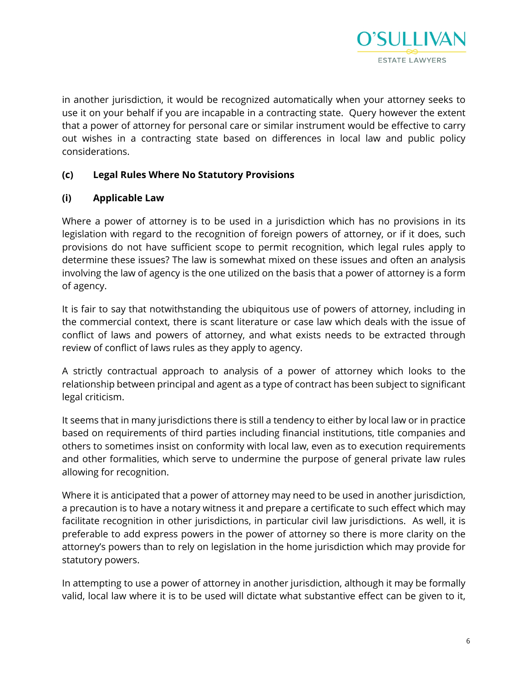

in another jurisdiction, it would be recognized automatically when your attorney seeks to use it on your behalf if you are incapable in a contracting state. Query however the extent that a power of attorney for personal care or similar instrument would be effective to carry out wishes in a contracting state based on differences in local law and public policy considerations.

# **(c) Legal Rules Where No Statutory Provisions**

# **(i) Applicable Law**

Where a power of attorney is to be used in a jurisdiction which has no provisions in its legislation with regard to the recognition of foreign powers of attorney, or if it does, such provisions do not have sufficient scope to permit recognition, which legal rules apply to determine these issues? The law is somewhat mixed on these issues and often an analysis involving the law of agency is the one utilized on the basis that a power of attorney is a form of agency.

It is fair to say that notwithstanding the ubiquitous use of powers of attorney, including in the commercial context, there is scant literature or case law which deals with the issue of conflict of laws and powers of attorney, and what exists needs to be extracted through review of conflict of laws rules as they apply to agency.

A strictly contractual approach to analysis of a power of attorney which looks to the relationship between principal and agent as a type of contract has been subject to significant legal criticism.

It seems that in many jurisdictions there is still a tendency to either by local law or in practice based on requirements of third parties including financial institutions, title companies and others to sometimes insist on conformity with local law, even as to execution requirements and other formalities, which serve to undermine the purpose of general private law rules allowing for recognition.

Where it is anticipated that a power of attorney may need to be used in another jurisdiction, a precaution is to have a notary witness it and prepare a certificate to such effect which may facilitate recognition in other jurisdictions, in particular civil law jurisdictions. As well, it is preferable to add express powers in the power of attorney so there is more clarity on the attorney's powers than to rely on legislation in the home jurisdiction which may provide for statutory powers.

In attempting to use a power of attorney in another jurisdiction, although it may be formally valid, local law where it is to be used will dictate what substantive effect can be given to it,